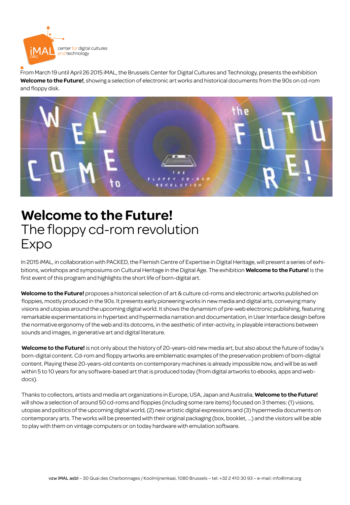

From March 19 until April 26 2015 iMAL, the Brussels Center for Digital Cultures and Technology, presents the exhibition **Welcome to the Future!**, showing a selection of electronic art works and historical documents from the 90s on cd-rom and floppy disk.



# **Welcome to the Future!**  The floppy cd-rom revolution Expo

In 2015 iMAL, in collaboration with PACKED, the Flemish Centre of Expertise in Digital Heritage, will present a series of exhibitions, workshops and symposiums on Cultural Heritage in the Digital Age. The exhibition **Welcome to the Future!** is the first event of this program and highlights the short life of born-digital art.

**Welcome to the Future!** proposes a historical selection of art & culture cd-roms and electronic artworks published on floppies, mostly produced in the 90s. It presents early pioneering works in new media and digital arts, conveying many visions and utopias around the upcoming digital world. It shows the dynamism of pre-web electronic publishing, featuring remarkable experimentations in hypertext and hypermedia narration and documentation, in User Interface design before the normative ergonomy of the web and its dotcoms, in the aesthetic of inter-activity, in playable interactions between sounds and images, in generative art and digital literature.

**Welcome to the Future!** is not only about the history of 20-years-old new media art, but also about the future of today's born-digital content. Cd-rom and floppy artworks are emblematic examples of the preservation problem of born-digital content. Playing these 20-years-old contents on contemporary machines is already impossible now, and will be as well within 5 to 10 years for any software-based art that is produced today (from digital artworks to ebooks, apps and webdocs).

Thanks to collectors, artists and media art organizations in Europe, USA, Japan and Australia, **Welcome to the Future!**  will show a selection of around 50 cd-roms and floppies (including some rare items) focused on 3 themes: (1) visions, utopias and politics of the upcoming digital world, (2) new artistic digital expressions and (3) hypermedia documents on contemporary arts. The works will be presented with their original packaging (box, booklet, ...) and the visitors will be able to play with them on vintage computers or on today hardware with emulation software.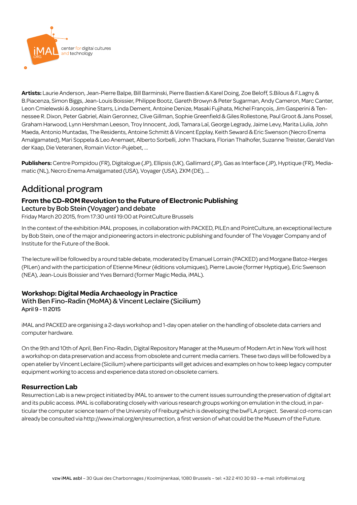

**Artists:** Laurie Anderson, Jean-Pierre Balpe, Bill Barminski, Pierre Bastien & Karel Doing, Zoe Beloff, S.Bilous & F.Lagny & B.Piacenza, Simon Biggs, Jean-Louis Boissier, Philippe Bootz, Gareth Browyn & Peter Sugarman, Andy Cameron, Marc Canter, Leon Cmielewski & Josephine Starrs, Linda Dement, Antoine Denize, Masaki Fujihata, Michel François, Jim Gasperini & Tennessee R. Dixon, Peter Gabriel, Alain Geronnez, Clive Gillman, Sophie Greenfield & Giles Rollestone, Paul Groot & Jans Possel, Graham Harwood, Lynn Hershman Leeson, Troy Innocent, Jodi, Tamara Laï, George Legrady, Jaime Levy, Marita Liulia, John Maeda, Antonio Muntadas, The Residents, Antoine Schmitt & Vincent Epplay, Keith Seward & Eric Swenson (Necro Enema Amalgamated), Mari Soppela & Leo Anemaet, Alberto Sorbelli, John Thackara, Florian Thalhofer, Suzanne Treister, Gerald Van der Kaap, Die Veteranen, Romain Victor-Pujebet, ...

**Publishers:** Centre Pompidou (FR), Digitalogue (JP), Ellipsis (UK), Gallimard (JP), Gas as Interface (JP), Hyptique (FR), Mediamatic (NL), Necro Enema Amalgamated (USA), Voyager (USA), ZKM (DE), ...

# Additional program

#### **From the CD-ROM Revolution to the Future of Electronic Publishing** Lecture by Bob Stein (Voyager) and debate

Friday March 20 2015, from 17:30 until 19:00 at PointCulture Brussels

In the context of the exhibition iMAL proposes, in collaboration with PACKED, PILEn and PointCulture, an exceptional lecture by Bob Stein, one of the major and pioneering actors in electronic publishing and founder of The Voyager Company and of Institute for the Future of the Book.

The lecture will be followed by a round table debate, moderated by Emanuel Lorrain (PACKED) and Morgane Batoz-Herges (PILen) and with the participation of Etienne Mineur (éditions volumiques), Pierre Lavoie (former Hyptique), Eric Swenson (NEA), Jean-Louis Boissier and Yves Bernard (former Magic Media, iMAL).

### **Workshop: Digital Media Archaeology in Practice**

### With Ben Fino-Radin (MoMA) & Vincent Leclaire (Sicilium) April 9 - 11 2015

iMAL and PACKED are organising a 2-days workshop and 1-day open atelier on the handling of obsolete data carriers and computer hardware.

On the 9th and 10th of April, Ben Fino-Radin, Digital Repository Manager at the Museum of Modern Art in New York will host a workshop on data preservation and access from obsolete and current media carriers. These two days will be followed by a open atelier by Vincent Leclaire (Sicilium) where participants will get advices and examples on how to keep legacy computer equipment working to access and experience data stored on obsolete carriers.

### **Resurrection Lab**

Resurrection Lab is a new project initiated by iMAL to answer to the current issues surrounding the preservation of digital art and its public access. iMAL is collaborating closely with various research groups working on emulation in the cloud, in particular the computer science team of the University of Freiburg which is developing the bwFLA project. Several cd-roms can already be consulted via http://www.imal.org/en/resurrection, a first version of what could be the Museum of the Future.